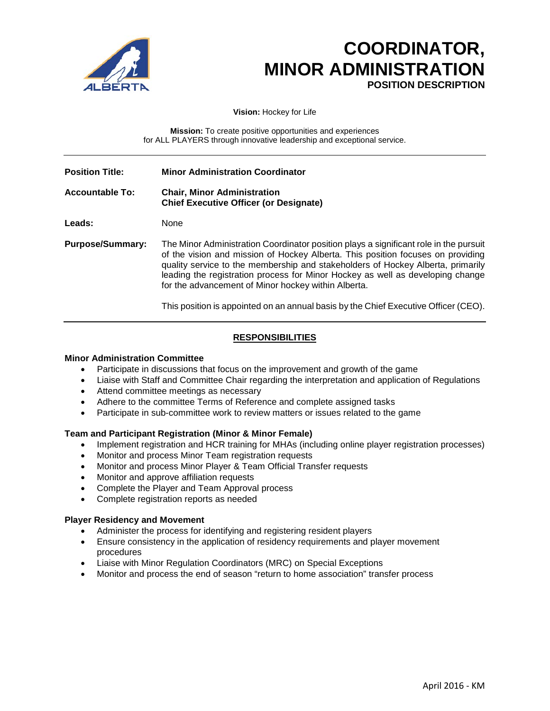

# **COORDINATOR, MINOR ADMINISTRATION POSITION DESCRIPTION**

**Vision:** Hockey for Life

**Mission:** To create positive opportunities and experiences for ALL PLAYERS through innovative leadership and exceptional service.

| <b>Position Title:</b>  | <b>Minor Administration Coordinator</b>                                                                                                                                                                                                                                                                                                                                                              |
|-------------------------|------------------------------------------------------------------------------------------------------------------------------------------------------------------------------------------------------------------------------------------------------------------------------------------------------------------------------------------------------------------------------------------------------|
| <b>Accountable To:</b>  | <b>Chair, Minor Administration</b><br><b>Chief Executive Officer (or Designate)</b>                                                                                                                                                                                                                                                                                                                  |
| Leads:                  | None                                                                                                                                                                                                                                                                                                                                                                                                 |
| <b>Purpose/Summary:</b> | The Minor Administration Coordinator position plays a significant role in the pursuit<br>of the vision and mission of Hockey Alberta. This position focuses on providing<br>quality service to the membership and stakeholders of Hockey Alberta, primarily<br>leading the registration process for Minor Hockey as well as developing change<br>for the advancement of Minor hockey within Alberta. |

This position is appointed on an annual basis by the Chief Executive Officer (CEO).

# **RESPONSIBILITIES**

### **Minor Administration Committee**

- Participate in discussions that focus on the improvement and growth of the game
- Liaise with Staff and Committee Chair regarding the interpretation and application of Regulations
- Attend committee meetings as necessary
- Adhere to the committee Terms of Reference and complete assigned tasks
- Participate in sub-committee work to review matters or issues related to the game

### **Team and Participant Registration (Minor & Minor Female)**

- Implement registration and HCR training for MHAs (including online player registration processes)
- Monitor and process Minor Team registration requests
- Monitor and process Minor Player & Team Official Transfer requests
- Monitor and approve affiliation requests
- Complete the Player and Team Approval process
- Complete registration reports as needed

### **Player Residency and Movement**

- Administer the process for identifying and registering resident players
- Ensure consistency in the application of residency requirements and player movement procedures
- Liaise with Minor Regulation Coordinators (MRC) on Special Exceptions
- Monitor and process the end of season "return to home association" transfer process